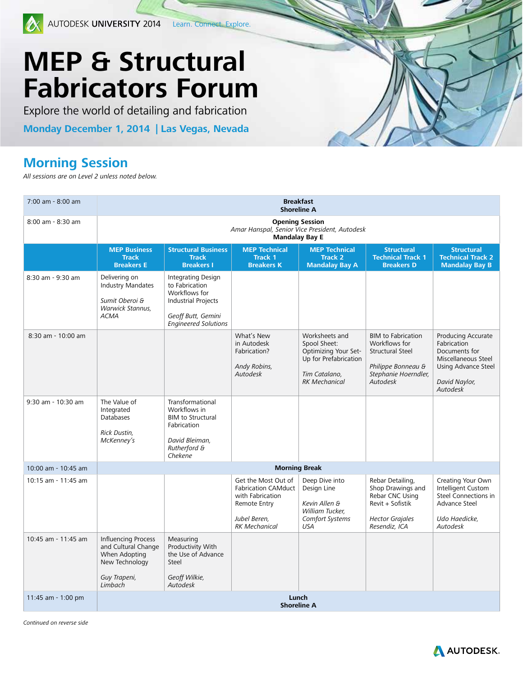

## **MEP & Structural Fabricators Forum**

Explore the world of detailing and fabrication

**Monday December 1, 2014 | Las Vegas, Nevada**

## **Morning Session**

*All sessions are on Level 2 unless noted below.* 

| 7:00 am - 8:00 am   | <b>Breakfast</b><br><b>Shoreline A</b>                                                                          |                                                                                                                                   |                                                                                                                               |                                                                                                                          |                                                                                                                                 |                                                                                                                               |  |  |  |
|---------------------|-----------------------------------------------------------------------------------------------------------------|-----------------------------------------------------------------------------------------------------------------------------------|-------------------------------------------------------------------------------------------------------------------------------|--------------------------------------------------------------------------------------------------------------------------|---------------------------------------------------------------------------------------------------------------------------------|-------------------------------------------------------------------------------------------------------------------------------|--|--|--|
| 8:00 am - 8:30 am   | <b>Opening Session</b><br>Amar Hanspal, Senior Vice President, Autodesk<br><b>Mandalay Bay E</b>                |                                                                                                                                   |                                                                                                                               |                                                                                                                          |                                                                                                                                 |                                                                                                                               |  |  |  |
|                     | <b>MEP Business</b><br><b>Track</b><br><b>Breakers E</b>                                                        | <b>Structural Business</b><br><b>Track</b><br><b>Breakers I</b>                                                                   | <b>MEP Technical</b><br><b>Track 1</b><br><b>Breakers K</b>                                                                   | <b>MEP Technical</b><br><b>Track 2</b><br><b>Mandalay Bay A</b>                                                          | <b>Structural</b><br><b>Technical Track 1</b><br><b>Breakers D</b>                                                              | <b>Structural</b><br><b>Technical Track 2</b><br><b>Mandalay Bay B</b>                                                        |  |  |  |
| 8:30 am - 9:30 am   | Delivering on<br><b>Industry Mandates</b><br>Sumit Oberoi &<br>Warwick Stannus,<br><b>ACMA</b>                  | Integrating Design<br>to Fabrication<br>Workflows for<br><b>Industrial Projects</b><br>Geoff Butt, Gemini<br>Engineered Solutions |                                                                                                                               |                                                                                                                          |                                                                                                                                 |                                                                                                                               |  |  |  |
| 8:30 am - 10:00 am  |                                                                                                                 |                                                                                                                                   | What's New<br>in Autodesk<br>Fabrication?<br>Andy Robins,<br><b>Autodesk</b>                                                  | Worksheets and<br>Spool Sheet:<br>Optimizing Your Set-<br>Up for Prefabrication<br>Tim Catalano,<br><b>RK Mechanical</b> | <b>BIM</b> to Fabrication<br>Workflows for<br><b>Structural Steel</b><br>Philippe Bonneau &<br>Stephanie Hoerndler,<br>Autodesk | Producing Accurate<br>Fabrication<br>Documents for<br>Miscellaneous Steel<br>Using Advance Steel<br>David Naylor,<br>Autodesk |  |  |  |
| 9:30 am - 10:30 am  | The Value of<br>Integrated<br>Databases<br>Rick Dustin,<br>McKenney's                                           | Transformational<br>Workflows in<br><b>BIM</b> to Structural<br>Fabrication<br>David Bleiman,<br>Rutherford &<br>Chekene          |                                                                                                                               |                                                                                                                          |                                                                                                                                 |                                                                                                                               |  |  |  |
| 10:00 am - 10:45 am | <b>Morning Break</b>                                                                                            |                                                                                                                                   |                                                                                                                               |                                                                                                                          |                                                                                                                                 |                                                                                                                               |  |  |  |
| 10:15 am - 11:45 am |                                                                                                                 |                                                                                                                                   | Get the Most Out of<br><b>Fabrication CAMduct</b><br>with Fabrication<br>Remote Entry<br>Jubel Beren,<br><b>RK Mechanical</b> | Deep Dive into<br>Design Line<br>Kevin Allen &<br>William Tucker,<br>Comfort Systems<br><b>USA</b>                       | Rebar Detailing,<br>Shop Drawings and<br>Rebar CNC Using<br>Revit + Sofistik<br><b>Hector Grajales</b><br>Resendiz, ICA         | Creating Your Own<br>Intelligent Custom<br>Steel Connections in<br>Advance Steel<br>Udo Haedicke,<br>Autodesk                 |  |  |  |
| 10:45 am - 11:45 am | <b>Influencing Process</b><br>and Cultural Change<br>When Adopting<br>New Technology<br>Guy Trapeni,<br>Limbach | Measuring<br>Productivity With<br>the Use of Advance<br>Steel<br>Geoff Wilkie,<br>Autodesk                                        |                                                                                                                               |                                                                                                                          |                                                                                                                                 |                                                                                                                               |  |  |  |
| 11:45 am - 1:00 pm  | Lunch<br><b>Shoreline A</b>                                                                                     |                                                                                                                                   |                                                                                                                               |                                                                                                                          |                                                                                                                                 |                                                                                                                               |  |  |  |

*Continued on reverse side*